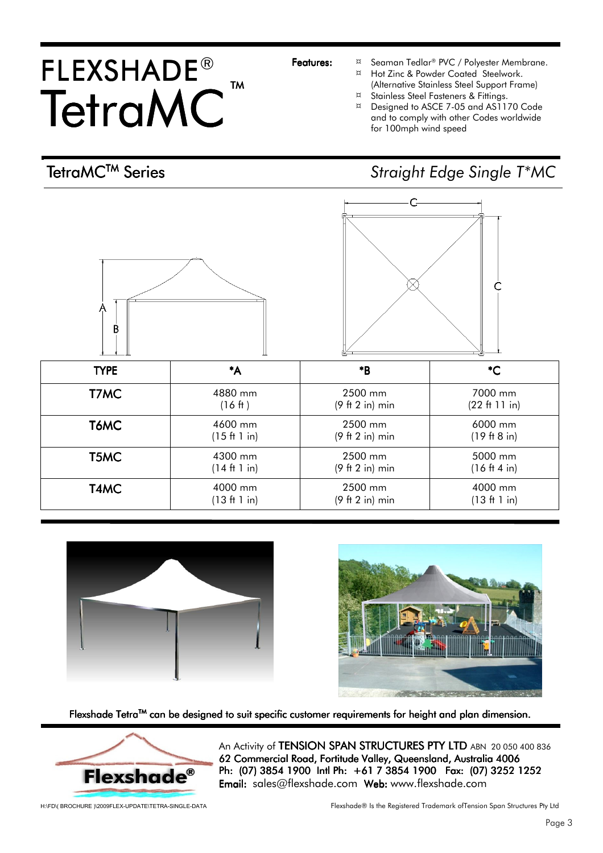## FLEXSHADE® TetraMC<sup>™</sup> TM

- Features:  $\frac{a}{x}$  Seaman Tedlar<sup>®</sup> PVC / Polyester Membrane.
	- ¤ Hot Zinc & Powder Coated Steelwork. (Alternative Stainless Steel Support Frame)<br>
	Stainless Steel Fasteners & Fittings
	- Stainless Steel Fasteners & Fittings.
	- ¤ Designed to ASCE 7-05 and AS1170 Code and to comply with other Codes worldwide for 100mph wind speed

## TetraMC™ Series Straight Edge Single T\*MC







Flexshade Tetra™ can be designed to suit specific customer requirements for height and plan dimension.



An Activity of TENSION SPAN STRUCTURES PTY LTD ABN 20 050 400 836 62 Commercial Road, Fortitude Valley, Queensland, Australia 4006 Ph: (07) 3854 1900 Intl Ph: +61 7 3854 1900 Fax: (07) 3252 1252 **Email:** sales@flexshade.com Web: www.flexshade.com